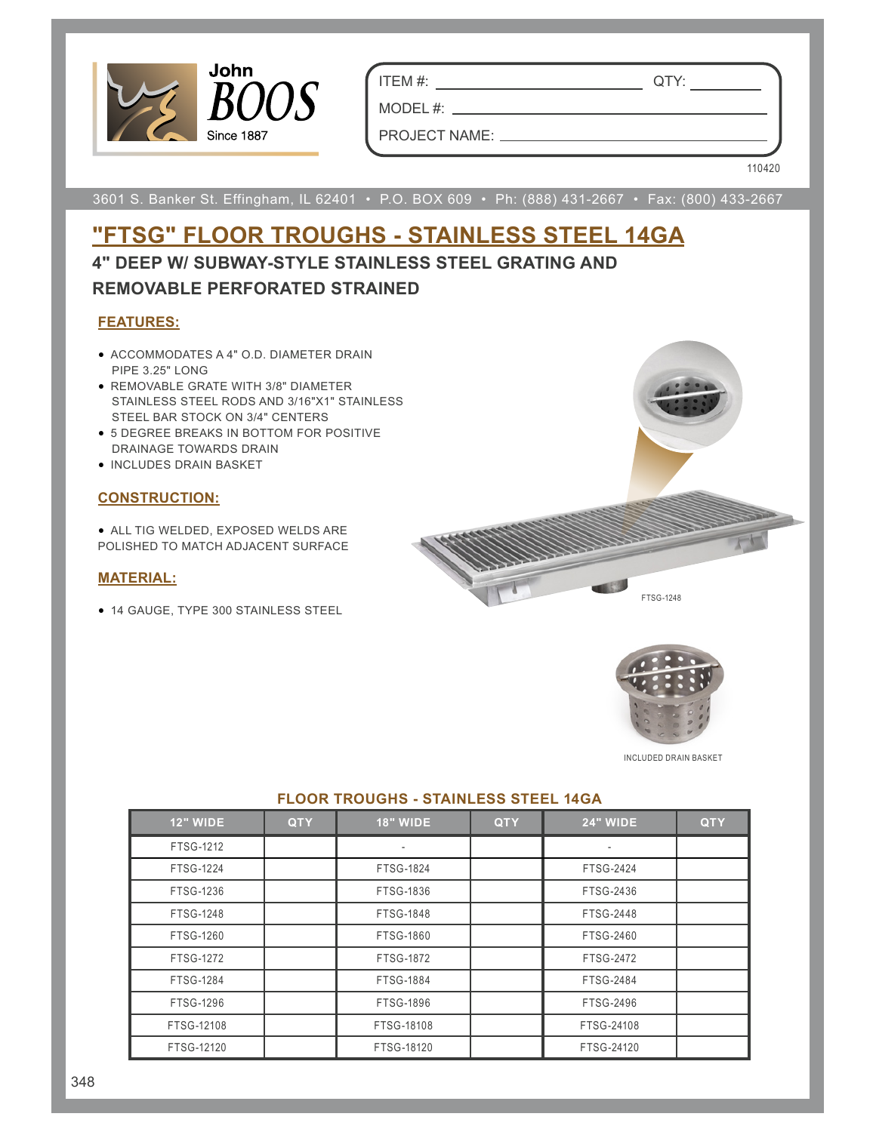

ITEM #: QTY:

MODEL #: \_\_\_

PROJECT NAME:

110420

3601 S. Banker St. Effingham, IL 62401 • P.O. BOX 609 • Ph: (888) 431-2667 • Fax: (800) 433-2667

## **"FTSG" FLOOR TROUGHS - STAINLESS STEEL 14GA 4" DEEP W/ SUBWAY-STYLE STAINLESS STEEL GRATING AND**

### **REMOVABLE PERFORATED STRAINED**

#### **FEATURES:**

- ACCOMMODATES A 4" O.D. DIAMETER DRAIN PIPE 3.25" LONG
- REMOVABLE GRATE WITH 3/8" DIAMETER STAINLESS STEEL RODS AND 3/16"X1" STAINLESS STEEL BAR STOCK ON 3/4" CENTERS
- 5 DEGREE BREAKS IN BOTTOM FOR POSITIVE DRAINAGE TOWARDS DRAIN
- INCLUDES DRAIN BASKET

#### **CONSTRUCTION:**

• ALL TIG WELDED, EXPOSED WELDS ARE POLISHED TO MATCH ADJACENT SURFACE

#### **MATERIAL:**

• 14 GAUGE, TYPE 300 STAINLESS STEEL





INCLUDED DRAIN BASKET

| <b>12" WIDE</b>  | <b>QTY</b> | <b>18" WIDE</b>  | <b>QTY</b> | <b>24" WIDE</b>  | <b>QTY</b> |
|------------------|------------|------------------|------------|------------------|------------|
| FTSG-1212        |            | $\blacksquare$   |            |                  |            |
| <b>FTSG-1224</b> |            | <b>FTSG-1824</b> |            | <b>FTSG-2424</b> |            |
| FTSG-1236        |            | FTSG-1836        |            | FTSG-2436        |            |
| <b>FTSG-1248</b> |            | <b>FTSG-1848</b> |            | <b>FTSG-2448</b> |            |
| FTSG-1260        |            | <b>FTSG-1860</b> |            | FTSG-2460        |            |
| <b>FTSG-1272</b> |            | <b>FTSG-1872</b> |            | <b>FTSG-2472</b> |            |
| <b>FTSG-1284</b> |            | <b>FTSG-1884</b> |            | <b>FTSG-2484</b> |            |
| FTSG-1296        |            | <b>FTSG-1896</b> |            | FTSG-2496        |            |
| FTSG-12108       |            | FTSG-18108       |            | FTSG-24108       |            |
| FTSG-12120       |            | FTSG-18120       |            | FTSG-24120       |            |

#### **FLOOR TROUGHS - STAINLESS STEEL 14GA**